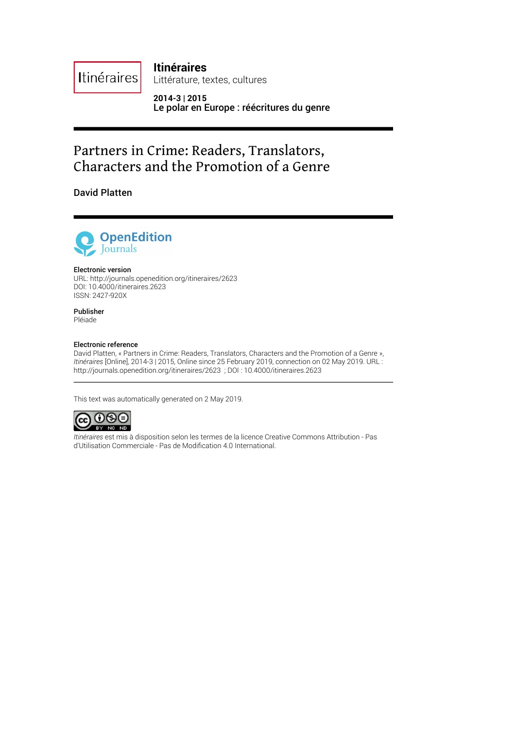**Itinéraires**

Littérature, textes, cultures

**2014-3 | 2015** Le polar en Europe : réécritures du genre

# Partners in Crime: Readers, Translators, Characters and the Promotion of a Genre

David Platten

**Itinéraires** 



#### Electronic version

URL:<http://journals.openedition.org/itineraires/2623> DOI: 10.4000/itineraires.2623 ISSN: 2427-920X

Publisher Pléiade

#### Electronic reference

David Platten, « Partners in Crime: Readers, Translators, Characters and the Promotion of a Genre », *Itinéraires* [Online], 2014-3 | 2015, Online since 25 February 2019, connection on 02 May 2019. URL : http://journals.openedition.org/itineraires/2623 ; DOI : 10.4000/itineraires.2623

This text was automatically generated on 2 May 2019.



*Itinéraires* est mis à disposition selon les termes de la [licence Creative Commons Attribution - Pas](http://creativecommons.org/licenses/by-nc-nd/4.0/) [d'Utilisation Commerciale - Pas de Modi](http://creativecommons.org/licenses/by-nc-nd/4.0/)fication 4.0 International.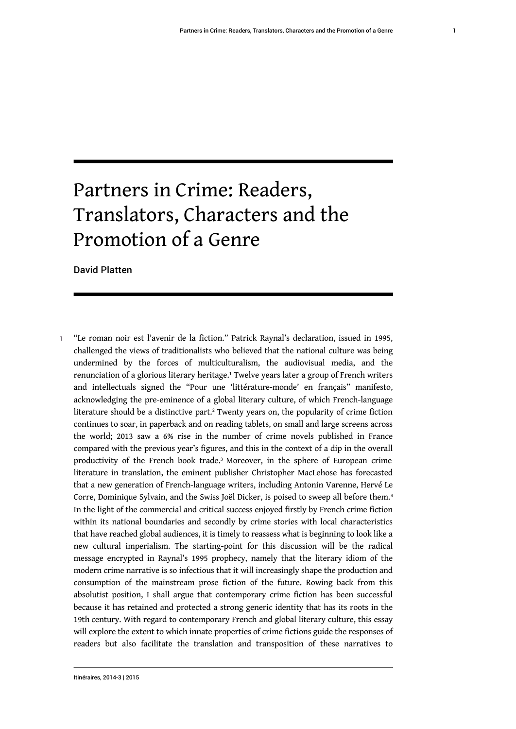# Partners in Crime: Readers, Translators, Characters and the Promotion of a Genre

David Platten

<span id="page-1-3"></span><span id="page-1-2"></span><span id="page-1-1"></span><span id="page-1-0"></span>1 "Le roman noir est l'avenir de la fiction." Patrick Raynal's declaration, issued in 1995, challenged the views of traditionalists who believed that the national culture was being undermined by the forces of multiculturalism, the audiovisual media, and the renunciation of a glorious literary heritage.<sup>[1](#page-13-0)</sup> Twelve years later a group of French writers and intellectuals signed the "Pour une 'littérature-monde' en français" manifesto, acknowledging the pre-eminence of a global literary culture, of which French-language literature should be a distinctive part. $^{\rm 2}$  $^{\rm 2}$  $^{\rm 2}$  Twenty years on, the popularity of crime fiction continues to soar, in paperback and on reading tablets, on small and large screens across the world; 2013 saw a 6% rise in the number of crime novels published in France compared with the previous year's figures, and this in the context of a dip in the overall productivity of the French book trade.<sup>[3](#page-13-2)</sup> Moreover, in the sphere of European crime literature in translation, the eminent publisher Christopher MacLehose has forecasted that a new generation of French-language writers, including Antonin Varenne, Hervé Le Corre, Dominique Sylvain, and the Swiss Joël Dicker, is poised to sweep all before them.<sup>[4](#page-13-3)</sup> In the light of the commercial and critical success enjoyed firstly by French crime fiction within its national boundaries and secondly by crime stories with local characteristics that have reached global audiences, it is timely to reassess what is beginning to look like a new cultural imperialism. The starting-point for this discussion will be the radical message encrypted in Raynal's 1995 prophecy, namely that the literary idiom of the modern crime narrative is so infectious that it will increasingly shape the production and consumption of the mainstream prose fiction of the future. Rowing back from this absolutist position, I shall argue that contemporary crime fiction has been successful because it has retained and protected a strong generic identity that has its roots in the 19th century. With regard to contemporary French and global literary culture, this essay will explore the extent to which innate properties of crime fictions guide the responses of readers but also facilitate the translation and transposition of these narratives to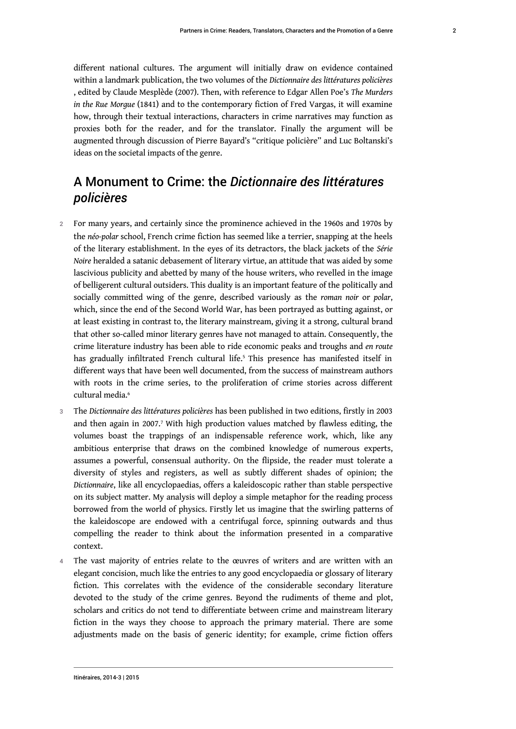different national cultures. The argument will initially draw on evidence contained within a landmark publication, the two volumes of the *Dictionnaire des littératures policières* , edited by Claude Mesplède (2007). Then, with reference to Edgar Allen Poe's *The Murders in the Rue Morgue* (1841) and to the contemporary fiction of Fred Vargas, it will examine how, through their textual interactions, characters in crime narratives may function as proxies both for the reader, and for the translator. Finally the argument will be augmented through discussion of Pierre Bayard's "critique policière" and Luc Boltanski's ideas on the societal impacts of the genre.

## A Monument to Crime: the *Dictionnaire des littératures policières*

- 2 For many years, and certainly since the prominence achieved in the 1960s and 1970s by the *néo-polar* school, French crime fiction has seemed like a terrier, snapping at the heels of the literary establishment. In the eyes of its detractors, the black jackets of the *Série Noire* heralded a satanic debasement of literary virtue, an attitude that was aided by some lascivious publicity and abetted by many of the house writers, who revelled in the image of belligerent cultural outsiders. This duality is an important feature of the politically and socially committed wing of the genre, described variously as the *roman noir* or *polar*, which, since the end of the Second World War, has been portrayed as butting against, or at least existing in contrast to, the literary mainstream, giving it a strong, cultural brand that other so-called minor literary genres have not managed to attain. Consequently, the crime literature industry has been able to ride economic peaks and troughs and *en route* has gradually infiltrated French cultural life.<sup>[5](#page-13-4)</sup> This presence has manifested itself in different ways that have been well documented, from the success of mainstream authors with roots in the crime series, to the proliferation of crime stories across different cultural media.<sup>[6](#page-13-5)</sup>
- <span id="page-2-2"></span><span id="page-2-1"></span><span id="page-2-0"></span><sup>3</sup>The *Dictionnaire des littératures policières* has been published in two editions, firstly in 2003 and then again in 200[7](#page-14-0).<sup>7</sup> With high production values matched by flawless editing, the volumes boast the trappings of an indispensable reference work, which, like any ambitious enterprise that draws on the combined knowledge of numerous experts, assumes a powerful, consensual authority. On the flipside, the reader must tolerate a diversity of styles and registers, as well as subtly different shades of opinion; the *Dictionnaire*, like all encyclopaedias, offers a kaleidoscopic rather than stable perspective on its subject matter. My analysis will deploy a simple metaphor for the reading process borrowed from the world of physics. Firstly let us imagine that the swirling patterns of the kaleidoscope are endowed with a centrifugal force, spinning outwards and thus compelling the reader to think about the information presented in a comparative context.
- The vast majority of entries relate to the œuvres of writers and are written with an elegant concision, much like the entries to any good encyclopaedia or glossary of literary fiction. This correlates with the evidence of the considerable secondary literature devoted to the study of the crime genres. Beyond the rudiments of theme and plot, scholars and critics do not tend to differentiate between crime and mainstream literary fiction in the ways they choose to approach the primary material. There are some adjustments made on the basis of generic identity; for example, crime fiction offers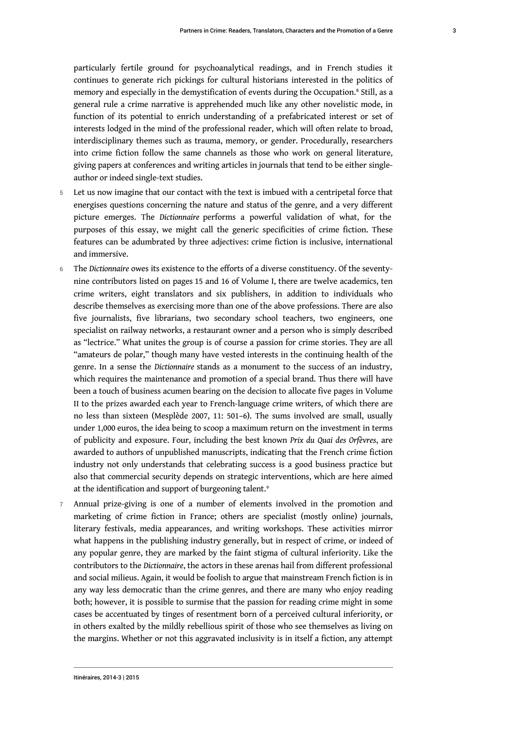<span id="page-3-0"></span>particularly fertile ground for psychoanalytical readings, and in French studies it continues to generate rich pickings for cultural historians interested in the politics of memory and especially in the demystification of events during the Occupation.[8](#page-14-1) Still, as a general rule a crime narrative is apprehended much like any other novelistic mode, in function of its potential to enrich understanding of a prefabricated interest or set of interests lodged in the mind of the professional reader, which will often relate to broad, interdisciplinary themes such as trauma, memory, or gender. Procedurally, researchers into crime fiction follow the same channels as those who work on general literature, giving papers at conferences and writing articles in journals that tend to be either singleauthor or indeed single-text studies.

- 5 Let us now imagine that our contact with the text is imbued with a centripetal force that energises questions concerning the nature and status of the genre, and a very different picture emerges. The *Dictionnaire* performs a powerful validation of what, for the purposes of this essay, we might call the generic specificities of crime fiction. These features can be adumbrated by three adjectives: crime fiction is inclusive, international and immersive.
- 6 The *Dictionnaire* owes its existence to the efforts of a diverse constituency. Of the seventynine contributors listed on pages 15 and 16 of Volume I, there are twelve academics, ten crime writers, eight translators and six publishers, in addition to individuals who describe themselves as exercising more than one of the above professions. There are also five journalists, five librarians, two secondary school teachers, two engineers, one specialist on railway networks, a restaurant owner and a person who is simply described as "lectrice." What unites the group is of course a passion for crime stories. They are all "amateurs de polar," though many have vested interests in the continuing health of the genre. In a sense the *Dictionnaire* stands as a monument to the success of an industry, which requires the maintenance and promotion of a special brand. Thus there will have been a touch of business acumen bearing on the decision to allocate five pages in Volume II to the prizes awarded each year to French-language crime writers, of which there are no less than sixteen (Mesplède 2007, 11: 501–6). The sums involved are small, usually under 1,000 euros, the idea being to scoop a maximum return on the investment in terms of publicity and exposure. Four, including the best known *Prix du Quai des Orfèvres*, are awarded to authors of unpublished manuscripts, indicating that the French crime fiction industry not only understands that celebrating success is a good business practice but also that commercial security depends on strategic interventions, which are here aimed at the identification and support of burgeoning talent.<sup>[9](#page-14-2)</sup>
- <span id="page-3-1"></span>7 Annual prize-giving is one of a number of elements involved in the promotion and marketing of crime fiction in France; others are specialist (mostly online) journals, literary festivals, media appearances, and writing workshops. These activities mirror what happens in the publishing industry generally, but in respect of crime, or indeed of any popular genre, they are marked by the faint stigma of cultural inferiority. Like the contributors to the *Dictionnaire*, the actors in these arenas hail from different professional and social milieus. Again, it would be foolish to argue that mainstream French fiction is in any way less democratic than the crime genres, and there are many who enjoy reading both; however, it is possible to surmise that the passion for reading crime might in some cases be accentuated by tinges of resentment born of a perceived cultural inferiority, or in others exalted by the mildly rebellious spirit of those who see themselves as living on the margins. Whether or not this aggravated inclusivity is in itself a fiction, any attempt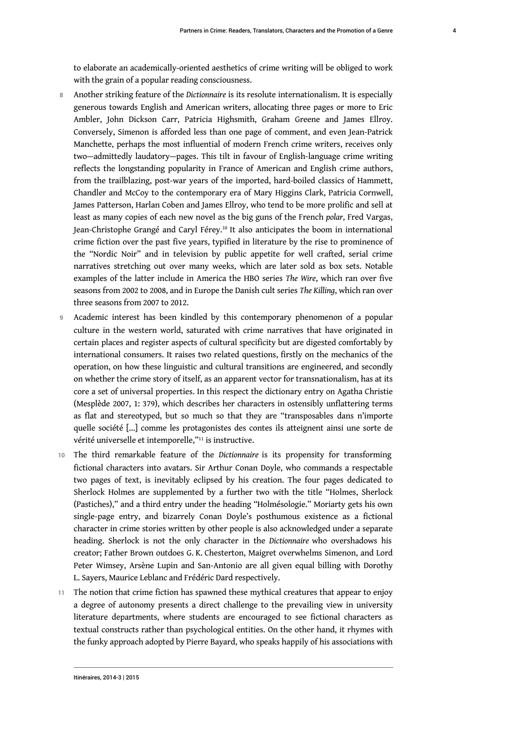to elaborate an academically-oriented aesthetics of crime writing will be obliged to work with the grain of a popular reading consciousness.

- <sup>8</sup>Another striking feature of the *Dictionnaire* is its resolute internationalism. It is especially generous towards English and American writers, allocating three pages or more to Eric Ambler, John Dickson Carr, Patricia Highsmith, Graham Greene and James Ellroy. Conversely, Simenon is afforded less than one page of comment, and even Jean-Patrick Manchette, perhaps the most influential of modern French crime writers, receives only two—admittedly laudatory—pages. This tilt in favour of English-language crime writing reflects the longstanding popularity in France of American and English crime authors, from the trailblazing, post-war years of the imported, hard-boiled classics of Hammett, Chandler and McCoy to the contemporary era of Mary Higgins Clark, Patricia Cornwell, James Patterson, Harlan Coben and James Ellroy, who tend to be more prolific and sell at least as many copies of each new novel as the big guns of the French *polar*, Fred Vargas, Jean-Christophe Grangé and Caryl Férey.[10](#page-14-3) It also anticipates the boom in international crime fiction over the past five years, typified in literature by the rise to prominence of the "Nordic Noir" and in television by public appetite for well crafted, serial crime narratives stretching out over many weeks, which are later sold as box sets. Notable examples of the latter include in America the HBO series *The Wire*, which ran over five seasons from 2002 to 2008, and in Europe the Danish cult series *The Killing*, which ran over three seasons from 2007 to 2012.
- <span id="page-4-0"></span>9 Academic interest has been kindled by this contemporary phenomenon of a popular culture in the western world, saturated with crime narratives that have originated in certain places and register aspects of cultural specificity but are digested comfortably by international consumers. It raises two related questions, firstly on the mechanics of the operation, on how these linguistic and cultural transitions are engineered, and secondly on whether the crime story of itself, as an apparent vector for transnationalism, has at its core a set of universal properties. In this respect the dictionary entry on Agatha Christie (Mesplède 2007, 1: 379), which describes her characters in ostensibly unflattering terms as flat and stereotyped, but so much so that they are "transposables dans n'importe quelle société […] comme les protagonistes des contes ils atteignent ainsi une sorte de vérité universelle et intemporelle,"[11](#page-14-4) is instructive.
- <span id="page-4-1"></span><sup>10</sup>The third remarkable feature of the *Dictionnaire* is its propensity for transforming fictional characters into avatars. Sir Arthur Conan Doyle, who commands a respectable two pages of text, is inevitably eclipsed by his creation. The four pages dedicated to Sherlock Holmes are supplemented by a further two with the title "Holmes, Sherlock (Pastiches)," and a third entry under the heading "Holmésologie." Moriarty gets his own single-page entry, and bizarrely Conan Doyle's posthumous existence as a fictional character in crime stories written by other people is also acknowledged under a separate heading. Sherlock is not the only character in the *Dictionnaire* who overshadows his creator; Father Brown outdoes G. K. Chesterton, Maigret overwhelms Simenon, and Lord Peter Wimsey, Arsène Lupin and San-Antonio are all given equal billing with Dorothy L. Sayers, Maurice Leblanc and Frédéric Dard respectively.
- The notion that crime fiction has spawned these mythical creatures that appear to enjoy a degree of autonomy presents a direct challenge to the prevailing view in university literature departments, where students are encouraged to see fictional characters as textual constructs rather than psychological entities. On the other hand, it rhymes with the funky approach adopted by Pierre Bayard, who speaks happily of his associations with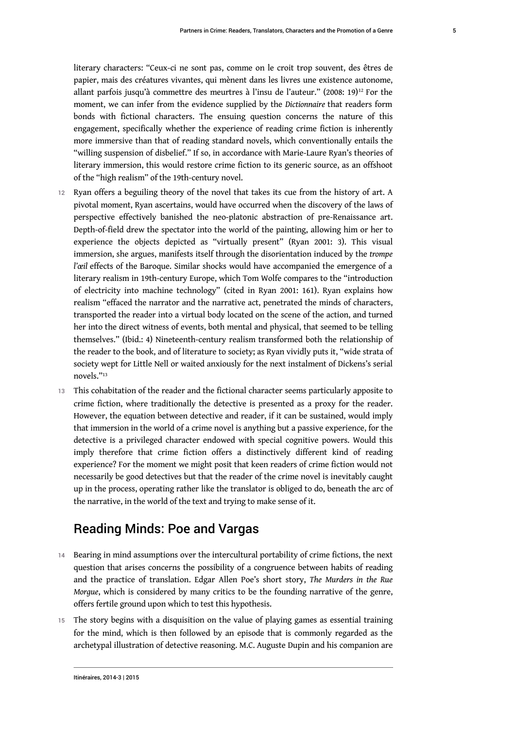<span id="page-5-0"></span>literary characters: "Ceux-ci ne sont pas, comme on le croit trop souvent, des êtres de papier, mais des créatures vivantes, qui mènent dans les livres une existence autonome, allant parfois jusqu'à commettre des meurtres à l'insu de l'auteur." (2008: 19)[12](#page-14-5) For the moment, we can infer from the evidence supplied by the *Dictionnaire* that readers form bonds with fictional characters. The ensuing question concerns the nature of this engagement, specifically whether the experience of reading crime fiction is inherently more immersive than that of reading standard novels, which conventionally entails the "willing suspension of disbelief." If so, in accordance with Marie-Laure Ryan's theories of literary immersion, this would restore crime fiction to its generic source, as an offshoot of the "high realism" of the 19th-century novel.

- 12 Ryan offers a beguiling theory of the novel that takes its cue from the history of art. A pivotal moment, Ryan ascertains, would have occurred when the discovery of the laws of perspective effectively banished the neo-platonic abstraction of pre-Renaissance art. Depth-of-field drew the spectator into the world of the painting, allowing him or her to experience the objects depicted as "virtually present" (Ryan 2001: 3). This visual immersion, she argues, manifests itself through the disorientation induced by the *trompe l'œil* effects of the Baroque. Similar shocks would have accompanied the emergence of a literary realism in 19th-century Europe, which Tom Wolfe compares to the "introduction of electricity into machine technology" (cited in Ryan 2001: 161). Ryan explains how realism "effaced the narrator and the narrative act, penetrated the minds of characters, transported the reader into a virtual body located on the scene of the action, and turned her into the direct witness of events, both mental and physical, that seemed to be telling themselves." (Ibid.: 4) Nineteenth-century realism transformed both the relationship of the reader to the book, and of literature to society; as Ryan vividly puts it, "wide strata of society wept for Little Nell or waited anxiously for the next instalment of Dickens's serial novels."[13](#page-14-6)
- <span id="page-5-1"></span>13 This cohabitation of the reader and the fictional character seems particularly apposite to crime fiction, where traditionally the detective is presented as a proxy for the reader. However, the equation between detective and reader, if it can be sustained, would imply that immersion in the world of a crime novel is anything but a passive experience, for the detective is a privileged character endowed with special cognitive powers. Would this imply therefore that crime fiction offers a distinctively different kind of reading experience? For the moment we might posit that keen readers of crime fiction would not necessarily be good detectives but that the reader of the crime novel is inevitably caught up in the process, operating rather like the translator is obliged to do, beneath the arc of the narrative, in the world of the text and trying to make sense of it.

## Reading Minds: Poe and Vargas

- 14 Bearing in mind assumptions over the intercultural portability of crime fictions, the next question that arises concerns the possibility of a congruence between habits of reading and the practice of translation. Edgar Allen Poe's short story, *The Murders in the Rue Morgue*, which is considered by many critics to be the founding narrative of the genre, offers fertile ground upon which to test this hypothesis.
- 15 The story begins with a disquisition on the value of playing games as essential training for the mind, which is then followed by an episode that is commonly regarded as the archetypal illustration of detective reasoning. M.C. Auguste Dupin and his companion are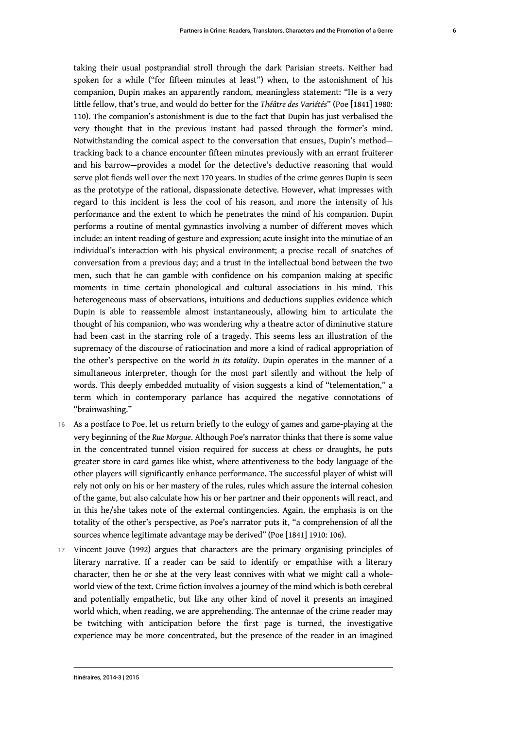taking their usual postprandial stroll through the dark Parisian streets. Neither had spoken for a while ("for fifteen minutes at least") when, to the astonishment of his companion, Dupin makes an apparently random, meaningless statement: "He is a very little fellow, that's true, and would do better for the *Théâtre des Variétés*" (Poe [1841] 1980: 110). The companion's astonishment is due to the fact that Dupin has just verbalised the very thought that in the previous instant had passed through the former's mind. Notwithstanding the comical aspect to the conversation that ensues, Dupin's method tracking back to a chance encounter fifteen minutes previously with an errant fruiterer and his barrow—provides a model for the detective's deductive reasoning that would serve plot fiends well over the next 170 years. In studies of the crime genres Dupin is seen as the prototype of the rational, dispassionate detective. However, what impresses with regard to this incident is less the cool of his reason, and more the intensity of his performance and the extent to which he penetrates the mind of his companion. Dupin performs a routine of mental gymnastics involving a number of different moves which include: an intent reading of gesture and expression; acute insight into the minutiae of an individual's interaction with his physical environment; a precise recall of snatches of conversation from a previous day; and a trust in the intellectual bond between the two men, such that he can gamble with confidence on his companion making at specific moments in time certain phonological and cultural associations in his mind. This heterogeneous mass of observations, intuitions and deductions supplies evidence which Dupin is able to reassemble almost instantaneously, allowing him to articulate the thought of his companion, who was wondering why a theatre actor of diminutive stature had been cast in the starring role of a tragedy. This seems less an illustration of the supremacy of the discourse of ratiocination and more a kind of radical appropriation of the other's perspective on the world *in its totality*. Dupin operates in the manner of a simultaneous interpreter, though for the most part silently and without the help of words. This deeply embedded mutuality of vision suggests a kind of "telementation," a term which in contemporary parlance has acquired the negative connotations of "brainwashing."

- 16 As a postface to Poe, let us return briefly to the eulogy of games and game-playing at the very beginning of the *Rue Morgue*. Although Poe's narrator thinks that there is some value in the concentrated tunnel vision required for success at chess or draughts, he puts greater store in card games like whist, where attentiveness to the body language of the other players will significantly enhance performance. The successful player of whist will rely not only on his or her mastery of the rules, rules which assure the internal cohesion of the game, but also calculate how his or her partner and their opponents will react, and in this he/she takes note of the external contingencies. Again, the emphasis is on the totality of the other's perspective, as Poe's narrator puts it, "a comprehension of *all* the sources whence legitimate advantage may be derived" (Poe [1841] 1910: 106).
- 17 Vincent Jouve (1992) argues that characters are the primary organising principles of literary narrative. If a reader can be said to identify or empathise with a literary character, then he or she at the very least connives with what we might call a wholeworld view of the text. Crime fiction involves a journey of the mind which is both cerebral and potentially empathetic, but like any other kind of novel it presents an imagined world which, when reading, we are apprehending. The antennae of the crime reader may be twitching with anticipation before the first page is turned, the investigative experience may be more concentrated, but the presence of the reader in an imagined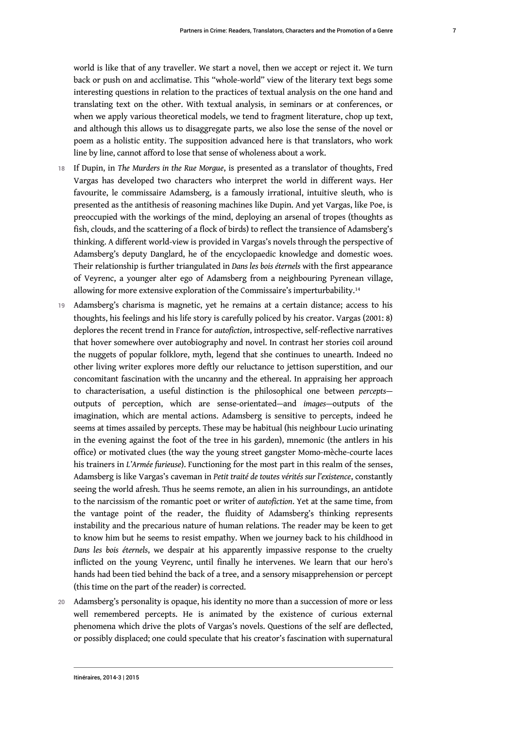<span id="page-7-0"></span>7

world is like that of any traveller. We start a novel, then we accept or reject it. We turn back or push on and acclimatise. This "whole-world" view of the literary text begs some interesting questions in relation to the practices of textual analysis on the one hand and translating text on the other. With textual analysis, in seminars or at conferences, or when we apply various theoretical models, we tend to fragment literature, chop up text, and although this allows us to disaggregate parts, we also lose the sense of the novel or poem as a holistic entity. The supposition advanced here is that translators, who work line by line, cannot afford to lose that sense of wholeness about a work.

- <sup>18</sup>If Dupin, in *The Murders in the Rue Morgue*, is presented as a translator of thoughts, Fred Vargas has developed two characters who interpret the world in different ways. Her favourite, le commissaire Adamsberg, is a famously irrational, intuitive sleuth, who is presented as the antithesis of reasoning machines like Dupin. And yet Vargas, like Poe, is preoccupied with the workings of the mind, deploying an arsenal of tropes (thoughts as fish, clouds, and the scattering of a flock of birds) to reflect the transience of Adamsberg's thinking. A different world-view is provided in Vargas's novels through the perspective of Adamsberg's deputy Danglard, he of the encyclopaedic knowledge and domestic woes. Their relationship is further triangulated in *Dans les bois éternels* with the first appearance of Veyrenc, a younger alter ego of Adamsberg from a neighbouring Pyrenean village, allowing for more extensive exploration of the Commissaire's imperturbability.[14](#page-14-7)
- 19 Adamsberg's charisma is magnetic, yet he remains at a certain distance; access to his thoughts, his feelings and his life story is carefully policed by his creator. Vargas (2001: 8) deplores the recent trend in France for *autofiction*, introspective, self-reflective narratives that hover somewhere over autobiography and novel. In contrast her stories coil around the nuggets of popular folklore, myth, legend that she continues to unearth. Indeed no other living writer explores more deftly our reluctance to jettison superstition, and our concomitant fascination with the uncanny and the ethereal. In appraising her approach to characterisation, a useful distinction is the philosophical one between *percepts* outputs of perception, which are sense-orientated—and *images*—outputs of the imagination, which are mental actions. Adamsberg is sensitive to percepts, indeed he seems at times assailed by percepts. These may be habitual (his neighbour Lucio urinating in the evening against the foot of the tree in his garden), mnemonic (the antlers in his office) or motivated clues (the way the young street gangster Momo-mèche-courte laces his trainers in *L'Armée furieuse*). Functioning for the most part in this realm of the senses, Adamsberg is like Vargas's caveman in *Petit traité de toutes vérités sur l'existence*, constantly seeing the world afresh. Thus he seems remote, an alien in his surroundings, an antidote to the narcissism of the romantic poet or writer of *autofiction*. Yet at the same time, from the vantage point of the reader, the fluidity of Adamsberg's thinking represents instability and the precarious nature of human relations. The reader may be keen to get to know him but he seems to resist empathy. When we journey back to his childhood in *Dans les bois éternels*, we despair at his apparently impassive response to the cruelty inflicted on the young Veyrenc, until finally he intervenes. We learn that our hero's hands had been tied behind the back of a tree, and a sensory misapprehension or percept (this time on the part of the reader) is corrected.
- 20 Adamsberg's personality is opaque, his identity no more than a succession of more or less well remembered percepts. He is animated by the existence of curious external phenomena which drive the plots of Vargas's novels. Questions of the self are deflected, or possibly displaced; one could speculate that his creator's fascination with supernatural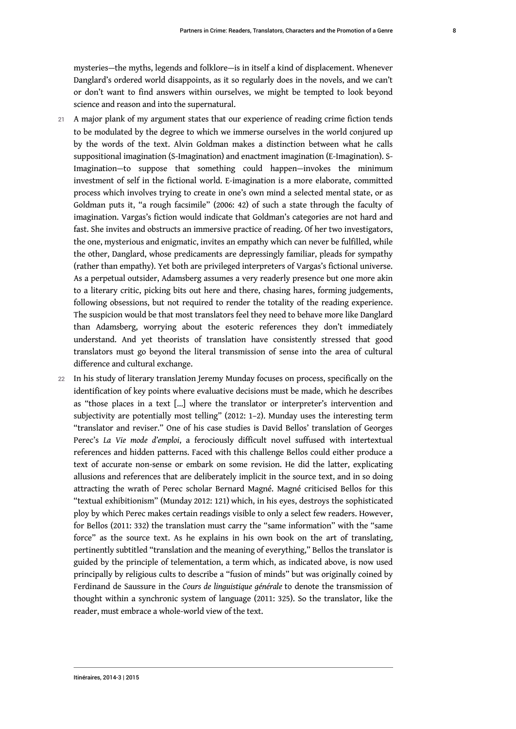mysteries—the myths, legends and folklore—is in itself a kind of displacement. Whenever Danglard's ordered world disappoints, as it so regularly does in the novels, and we can't or don't want to find answers within ourselves, we might be tempted to look beyond science and reason and into the supernatural.

- 21 A major plank of my argument states that our experience of reading crime fiction tends to be modulated by the degree to which we immerse ourselves in the world conjured up by the words of the text. Alvin Goldman makes a distinction between what he calls suppositional imagination (S-Imagination) and enactment imagination (E-Imagination). S-Imagination—to suppose that something could happen—invokes the minimum investment of self in the fictional world. E-imagination is a more elaborate, committed process which involves trying to create in one's own mind a selected mental state, or as Goldman puts it, "a rough facsimile" (2006: 42) of such a state through the faculty of imagination. Vargas's fiction would indicate that Goldman's categories are not hard and fast. She invites and obstructs an immersive practice of reading. Of her two investigators, the one, mysterious and enigmatic, invites an empathy which can never be fulfilled, while the other, Danglard, whose predicaments are depressingly familiar, pleads for sympathy (rather than empathy). Yet both are privileged interpreters of Vargas's fictional universe. As a perpetual outsider, Adamsberg assumes a very readerly presence but one more akin to a literary critic, picking bits out here and there, chasing hares, forming judgements, following obsessions, but not required to render the totality of the reading experience. The suspicion would be that most translators feel they need to behave more like Danglard than Adamsberg, worrying about the esoteric references they don't immediately understand. And yet theorists of translation have consistently stressed that good translators must go beyond the literal transmission of sense into the area of cultural difference and cultural exchange.
- 22 In his study of literary translation Jeremy Munday focuses on process, specifically on the identification of key points where evaluative decisions must be made, which he describes as "those places in a text […] where the translator or interpreter's intervention and subjectivity are potentially most telling" (2012: 1–2). Munday uses the interesting term "translator and reviser." One of his case studies is David Bellos' translation of Georges Perec's *La Vie mode d'emploi*, a ferociously difficult novel suffused with intertextual references and hidden patterns. Faced with this challenge Bellos could either produce a text of accurate non-sense or embark on some revision. He did the latter, explicating allusions and references that are deliberately implicit in the source text, and in so doing attracting the wrath of Perec scholar Bernard Magné. Magné criticised Bellos for this "textual exhibitionism" (Munday 2012: 121) which, in his eyes, destroys the sophisticated ploy by which Perec makes certain readings visible to only a select few readers. However, for Bellos (2011: 332) the translation must carry the "same information" with the "same force" as the source text. As he explains in his own book on the art of translating, pertinently subtitled "translation and the meaning of everything," Bellos the translator is guided by the principle of telementation, a term which, as indicated above, is now used principally by religious cults to describe a "fusion of minds" but was originally coined by Ferdinand de Saussure in the *Cours de linguistique générale* to denote the transmission of thought within a synchronic system of language (2011: 325). So the translator, like the reader, must embrace a whole-world view of the text.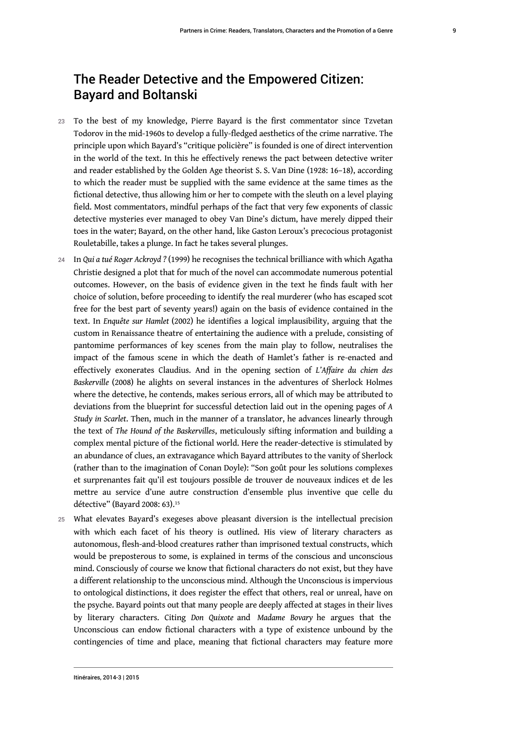## The Reader Detective and the Empowered Citizen: Bayard and Boltanski

- 23 To the best of my knowledge, Pierre Bayard is the first commentator since Tzvetan Todorov in the mid-1960s to develop a fully-fledged aesthetics of the crime narrative. The principle upon which Bayard's "critique policière" is founded is one of direct intervention in the world of the text. In this he effectively renews the pact between detective writer and reader established by the Golden Age theorist S. S. Van Dine (1928: 16–18), according to which the reader must be supplied with the same evidence at the same times as the fictional detective, thus allowing him or her to compete with the sleuth on a level playing field. Most commentators, mindful perhaps of the fact that very few exponents of classic detective mysteries ever managed to obey Van Dine's dictum, have merely dipped their toes in the water; Bayard, on the other hand, like Gaston Leroux's precocious protagonist Rouletabille, takes a plunge. In fact he takes several plunges.
- <sup>24</sup>In *Qui a tué Roger Ackroyd ?* (1999) he recognises the technical brilliance with which Agatha Christie designed a plot that for much of the novel can accommodate numerous potential outcomes. However, on the basis of evidence given in the text he finds fault with her choice of solution, before proceeding to identify the real murderer (who has escaped scot free for the best part of seventy years!) again on the basis of evidence contained in the text. In *Enquête sur Hamlet* (2002) he identifies a logical implausibility, arguing that the custom in Renaissance theatre of entertaining the audience with a prelude, consisting of pantomime performances of key scenes from the main play to follow, neutralises the impact of the famous scene in which the death of Hamlet's father is re-enacted and effectively exonerates Claudius. And in the opening section of *L'Affaire du chien des Baskerville* (2008) he alights on several instances in the adventures of Sherlock Holmes where the detective, he contends, makes serious errors, all of which may be attributed to deviations from the blueprint for successful detection laid out in the opening pages of *A Study in Scarlet*. Then, much in the manner of a translator, he advances linearly through the text of *The Hound of the Baskervilles*, meticulously sifting information and building a complex mental picture of the fictional world. Here the reader-detective is stimulated by an abundance of clues, an extravagance which Bayard attributes to the vanity of Sherlock (rather than to the imagination of Conan Doyle): "Son goût pour les solutions complexes et surprenantes fait qu'il est toujours possible de trouver de nouveaux indices et de les mettre au service d'une autre construction d'ensemble plus inventive que celle du détective" (Bayard 2008: 63).[15](#page-14-8)
- <span id="page-9-0"></span>25 What elevates Bayard's exegeses above pleasant diversion is the intellectual precision with which each facet of his theory is outlined. His view of literary characters as autonomous, flesh-and-blood creatures rather than imprisoned textual constructs, which would be preposterous to some, is explained in terms of the conscious and unconscious mind. Consciously of course we know that fictional characters do not exist, but they have a different relationship to the unconscious mind. Although the Unconscious is impervious to ontological distinctions, it does register the effect that others, real or unreal, have on the psyche. Bayard points out that many people are deeply affected at stages in their lives by literary characters. Citing *Don Quixote* and *Madame Bovary* he argues that the Unconscious can endow fictional characters with a type of existence unbound by the contingencies of time and place, meaning that fictional characters may feature more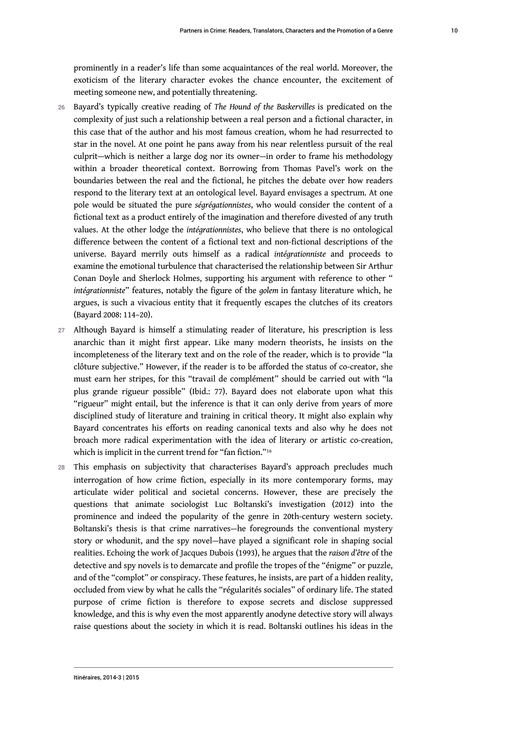prominently in a reader's life than some acquaintances of the real world. Moreover, the exoticism of the literary character evokes the chance encounter, the excitement of meeting someone new, and potentially threatening.

- <sup>26</sup>Bayard's typically creative reading of *The Hound of the Baskervilles* is predicated on the complexity of just such a relationship between a real person and a fictional character, in this case that of the author and his most famous creation, whom he had resurrected to star in the novel. At one point he pans away from his near relentless pursuit of the real culprit—which is neither a large dog nor its owner—in order to frame his methodology within a broader theoretical context. Borrowing from Thomas Pavel's work on the boundaries between the real and the fictional, he pitches the debate over how readers respond to the literary text at an ontological level. Bayard envisages a spectrum. At one pole would be situated the pure *ségrégationnistes*, who would consider the content of a fictional text as a product entirely of the imagination and therefore divested of any truth values. At the other lodge the *intégrationnistes*, who believe that there is no ontological difference between the content of a fictional text and non-fictional descriptions of the universe. Bayard merrily outs himself as a radical *intégrationniste* and proceeds to examine the emotional turbulence that characterised the relationship between Sir Arthur Conan Doyle and Sherlock Holmes, supporting his argument with reference to other " *intégrationniste*" features, notably the figure of the *golem* in fantasy literature which, he argues, is such a vivacious entity that it frequently escapes the clutches of its creators (Bayard 2008: 114–20).
- 27 Although Bayard is himself a stimulating reader of literature, his prescription is less anarchic than it might first appear. Like many modern theorists, he insists on the incompleteness of the literary text and on the role of the reader, which is to provide "la clôture subjective." However, if the reader is to be afforded the status of co-creator, she must earn her stripes, for this "travail de complément" should be carried out with "la plus grande rigueur possible" (Ibid.: 77). Bayard does not elaborate upon what this "rigueur" might entail, but the inference is that it can only derive from years of more disciplined study of literature and training in critical theory. It might also explain why Bayard concentrates his efforts on reading canonical texts and also why he does not broach more radical experimentation with the idea of literary or artistic co-creation, which is implicit in the current trend for "fan fiction."[16](#page-14-9)
- <span id="page-10-0"></span>28 This emphasis on subjectivity that characterises Bayard's approach precludes much interrogation of how crime fiction, especially in its more contemporary forms, may articulate wider political and societal concerns. However, these are precisely the questions that animate sociologist Luc Boltanski's investigation (2012) into the prominence and indeed the popularity of the genre in 20th-century western society. Boltanski's thesis is that crime narratives—he foregrounds the conventional mystery story or whodunit, and the spy novel—have played a significant role in shaping social realities. Echoing the work of Jacques Dubois (1993), he argues that the *raison d'être* of the detective and spy novels is to demarcate and profile the tropes of the "énigme" or puzzle, and of the "complot" or conspiracy. These features, he insists, are part of a hidden reality, occluded from view by what he calls the "régularités sociales" of ordinary life. The stated purpose of crime fiction is therefore to expose secrets and disclose suppressed knowledge, and this is why even the most apparently anodyne detective story will always raise questions about the society in which it is read. Boltanski outlines his ideas in the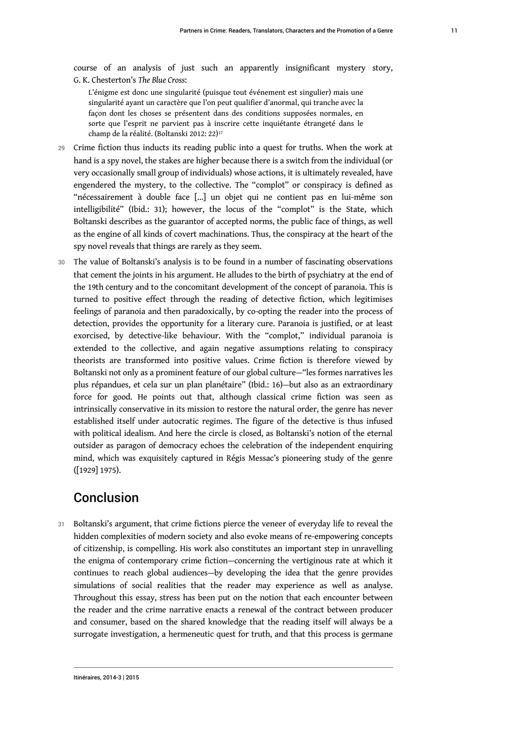course of an analysis of just such an apparently insignificant mystery story, G. K. Chesterton's *The Blue Cross*:

<span id="page-11-0"></span>L'énigme est donc une singularité (puisque tout événement est singulier) mais une singularité ayant un caractère que l'on peut qualifier d'anormal, qui tranche avec la façon dont les choses se présentent dans des conditions supposées normales, en sorte que l'esprit ne parvient pas à inscrire cette inquiétante étrangeté dans le champ de la réalité. (Boltanski 2012: 22)[17](#page-14-10)

- 29 Crime fiction thus inducts its reading public into a quest for truths. When the work at hand is a spy novel, the stakes are higher because there is a switch from the individual (or very occasionally small group of individuals) whose actions, it is ultimately revealed, have engendered the mystery, to the collective. The "complot" or conspiracy is defined as "nécessairement à double face […] un objet qui ne contient pas en lui-même son intelligibilité" (Ibid.: 31); however, the locus of the "complot" is the State, which Boltanski describes as the guarantor of accepted norms, the public face of things, as well as the engine of all kinds of covert machinations. Thus, the conspiracy at the heart of the spy novel reveals that things are rarely as they seem.
- 30 The value of Boltanski's analysis is to be found in a number of fascinating observations that cement the joints in his argument. He alludes to the birth of psychiatry at the end of the 19th century and to the concomitant development of the concept of paranoia. This is turned to positive effect through the reading of detective fiction, which legitimises feelings of paranoia and then paradoxically, by co-opting the reader into the process of detection, provides the opportunity for a literary cure. Paranoia is justified, or at least exorcised, by detective-like behaviour. With the "complot," individual paranoia is extended to the collective, and again negative assumptions relating to conspiracy theorists are transformed into positive values. Crime fiction is therefore viewed by Boltanski not only as a prominent feature of our global culture—"les formes narratives les plus répandues, et cela sur un plan planétaire" (Ibid.: 16)—but also as an extraordinary force for good. He points out that, although classical crime fiction was seen as intrinsically conservative in its mission to restore the natural order, the genre has never established itself under autocratic regimes. The figure of the detective is thus infused with political idealism. And here the circle is closed, as Boltanski's notion of the eternal outsider as paragon of democracy echoes the celebration of the independent enquiring mind, which was exquisitely captured in Régis Messac's pioneering study of the genre ([1929] 1975).

## Conclusion

31 Boltanski's argument, that crime fictions pierce the veneer of everyday life to reveal the hidden complexities of modern society and also evoke means of re-empowering concepts of citizenship, is compelling. His work also constitutes an important step in unravelling the enigma of contemporary crime fiction—concerning the vertiginous rate at which it continues to reach global audiences—by developing the idea that the genre provides simulations of social realities that the reader may experience as well as analyse. Throughout this essay, stress has been put on the notion that each encounter between the reader and the crime narrative enacts a renewal of the contract between producer and consumer, based on the shared knowledge that the reading itself will always be a surrogate investigation, a hermeneutic quest for truth, and that this process is germane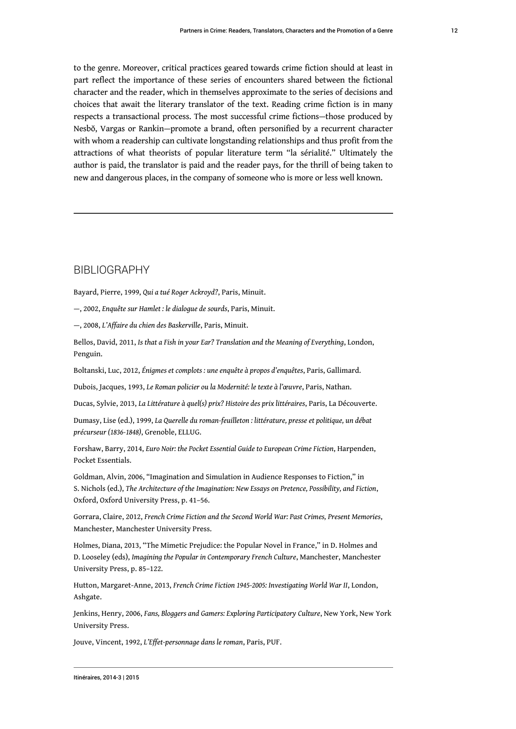to the genre. Moreover, critical practices geared towards crime fiction should at least in part reflect the importance of these series of encounters shared between the fictional character and the reader, which in themselves approximate to the series of decisions and choices that await the literary translator of the text. Reading crime fiction is in many respects a transactional process. The most successful crime fictions—those produced by Nesbŏ, Vargas or Rankin—promote a brand, often personified by a recurrent character with whom a readership can cultivate longstanding relationships and thus profit from the attractions of what theorists of popular literature term "la sérialité." Ultimately the author is paid, the translator is paid and the reader pays, for the thrill of being taken to new and dangerous places, in the company of someone who is more or less well known.

#### BIBLIOGRAPHY

Bayard, Pierre, 1999, *Qui a tué Roger Ackroyd?*, Paris, Minuit.

—, 2002, *Enquête sur Hamlet : le dialogue de sourds*, Paris, Minuit.

—, 2008, *L'Affaire du chien des Baskerville*, Paris, Minuit.

Bellos, David, 2011, *Is that a Fish in your Ear? Translation and the Meaning of Everything*, London, Penguin.

Boltanski, Luc, 2012, *Énigmes et complots : une enquête à propos d'enquêtes*, Paris, Gallimard.

Dubois, Jacques, 1993, *Le Roman policier ou la Modernité: le texte à l'œuvre*, Paris, Nathan.

Ducas, Sylvie, 2013, *La Littérature à quel(s) prix? Histoire des prix littéraires*, Paris, La Découverte.

Dumasy, Lise (ed.), 1999, *La Querelle du roman-feuilleton : littérature, presse et politique, un débat précurseur (1836-1848)*, Grenoble, ELLUG.

Forshaw, Barry, 2014, *Euro Noir: the Pocket Essential Guide to European Crime Fiction*, Harpenden, Pocket Essentials.

Goldman, Alvin, 2006, "Imagination and Simulation in Audience Responses to Fiction," in S. Nichols (ed.), *The Architecture of the Imagination: New Essays on Pretence, Possibility, and Fiction*, Oxford, Oxford University Press, p. 41–56.

Gorrara, Claire, 2012, *French Crime Fiction and the Second World War: Past Crimes, Present Memories*, Manchester, Manchester University Press.

Holmes, Diana, 2013, "The Mimetic Prejudice: the Popular Novel in France," in D. Holmes and D. Looseley (eds), *Imagining the Popular in Contemporary French Culture*, Manchester, Manchester University Press, p. 85–122.

Hutton, Margaret-Anne, 2013, *French Crime Fiction 1945-2005: Investigating World War II*, London, Ashgate.

Jenkins, Henry, 2006, *Fans, Bloggers and Gamers: Exploring Participatory Culture*, New York, New York University Press.

Jouve, Vincent, 1992, *L'Effet-personnage dans le roman*, Paris, PUF.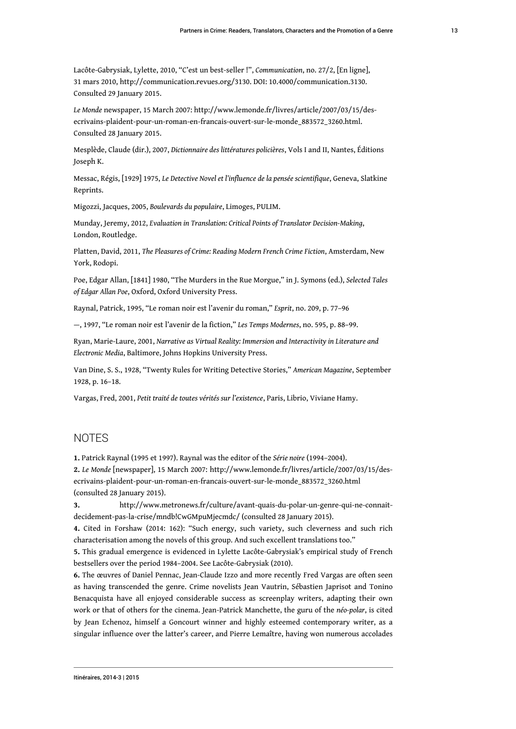Lacôte-Gabrysiak, Lylette, 2010, "C'est un best-seller !", *Communication*, no. 27/2, [En ligne], 31 mars 2010,<http://communication.revues.org/3130>. DOI: 10.4000/communication.3130. Consulted 29 January 2015.

*Le Monde* newspaper, 15 March 2007: [http://www.lemonde.fr/livres/article/2007/03/15/des](http://www.lemonde.fr/livres/article/2007/03/15/des-ecrivains-plaident-pour-un-roman-en-francais-ouvert-sur-le-monde_883572_3260.html)[ecrivains-plaident-pour-un-roman-en-francais-ouvert-sur-le-monde\\_883572\\_3260.html.](http://www.lemonde.fr/livres/article/2007/03/15/des-ecrivains-plaident-pour-un-roman-en-francais-ouvert-sur-le-monde_883572_3260.html) Consulted 28 January 2015.

Mesplède, Claude (dir.), 2007, *Dictionnaire des littératures policières*, Vols I and II, Nantes, Éditions Joseph K.

Messac, Régis, [1929] 1975, *Le Detective Novel et l'influence de la pensée scientifique*, Geneva, Slatkine Reprints.

Migozzi, Jacques, 2005, *Boulevards du populaire*, Limoges, PULIM.

Munday, Jeremy, 2012, *Evaluation in Translation: Critical Points of Translator Decision-Making*, London, Routledge.

Platten, David, 2011, *The Pleasures of Crime: Reading Modern French Crime Fiction*, Amsterdam, New York, Rodopi.

Poe, Edgar Allan, [1841] 1980, "The Murders in the Rue Morgue," in J. Symons (ed.), *Selected Tales of Edgar Allan Poe*, Oxford, Oxford University Press.

Raynal, Patrick, 1995, "Le roman noir est l'avenir du roman," *Esprit*, no. 209, p. 77–96

—, 1997, "Le roman noir est l'avenir de la fiction," *Les Temps Modernes*, no. 595, p. 88–99.

Ryan, Marie-Laure, 2001, *Narrative as Virtual Reality: Immersion and Interactivity in Literature and Electronic Media*, Baltimore, Johns Hopkins University Press.

Van Dine, S. S., 1928, "Twenty Rules for Writing Detective Stories," *American Magazine*, September 1928, p. 16–18.

Vargas, Fred, 2001, *Petit traité de toutes vérités sur l'existence*, Paris, Librio, Viviane Hamy.

#### **NOTES**

<span id="page-13-1"></span><span id="page-13-0"></span>**[1.](#page-1-0)** Patrick Raynal (1995 et 1997). Raynal was the editor of the *Série noire* (1994–2004). **[2.](#page-1-1)** *Le Monde* [newspaper], 15 March 2007: [http://www.lemonde.fr/livres/article/2007/03/15/des](http://www.lemonde.fr/livres/article/2007/03/15/des-ecrivains-plaident-pour-un-roman-en-francais-ouvert-sur-le-monde_883572_3260.html)[ecrivains-plaident-pour-un-roman-en-francais-ouvert-sur-le-monde\\_883572\\_3260.html](http://www.lemonde.fr/livres/article/2007/03/15/des-ecrivains-plaident-pour-un-roman-en-francais-ouvert-sur-le-monde_883572_3260.html) (consulted 28 January 2015).

<span id="page-13-2"></span>**[3.](#page-1-2)** [http://www.metronews.fr/culture/avant-quais-du-polar-un-genre-qui-ne-connait](http://www.metronews.fr/culture/avant-quais-du-polar-un-genre-qui-ne-connait-decidement-pas-la-crise/mndb!CwGMpuMjecmdc/)[decidement-pas-la-crise/mndb!CwGMpuMjecmdc/](http://www.metronews.fr/culture/avant-quais-du-polar-un-genre-qui-ne-connait-decidement-pas-la-crise/mndb!CwGMpuMjecmdc/) (consulted 28 January 2015).

<span id="page-13-3"></span>**[4.](#page-1-3)** Cited in Forshaw (2014: 162): "Such energy, such variety, such cleverness and such rich characterisation among the novels of this group. And such excellent translations too."

<span id="page-13-4"></span>**[5.](#page-2-0)** This gradual emergence is evidenced in Lylette Lacôte-Gabrysiak's empirical study of French bestsellers over the period 1984–2004. See Lacôte-Gabrysiak (2010).

<span id="page-13-5"></span>**[6.](#page-2-1)** The œuvres of Daniel Pennac, Jean-Claude Izzo and more recently Fred Vargas are often seen as having transcended the genre. Crime novelists Jean Vautrin, Sébastien Japrisot and Tonino Benacquista have all enjoyed considerable success as screenplay writers, adapting their own work or that of others for the cinema. Jean-Patrick Manchette, the guru of the *néo-polar*, is cited by Jean Echenoz, himself a Goncourt winner and highly esteemed contemporary writer, as a singular influence over the latter's career, and Pierre Lemaître, having won numerous accolades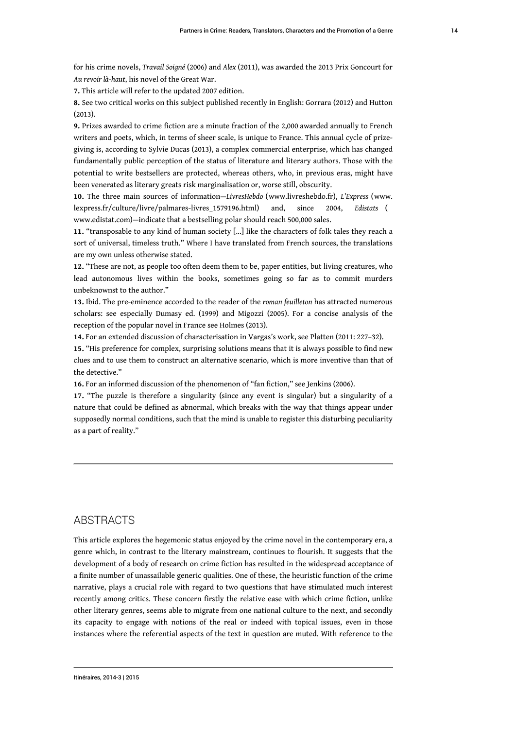for his crime novels, *Travail Soigné* (2006) and *Alex* (2011), was awarded the 2013 Prix Goncourt for *Au revoir là-haut*, his novel of the Great War.

<span id="page-14-0"></span>**[7.](#page-2-2)** This article will refer to the updated 2007 edition.

<span id="page-14-1"></span>**[8.](#page-3-0)** See two critical works on this subject published recently in English: Gorrara (2012) and Hutton (2013).

<span id="page-14-2"></span>**[9.](#page-3-1)** Prizes awarded to crime fiction are a minute fraction of the 2,000 awarded annually to French writers and poets, which, in terms of sheer scale, is unique to France. This annual cycle of prizegiving is, according to Sylvie Ducas (2013), a complex commercial enterprise, which has changed fundamentally public perception of the status of literature and literary authors. Those with the potential to write bestsellers are protected, whereas others, who, in previous eras, might have been venerated as literary greats risk marginalisation or, worse still, obscurity.

<span id="page-14-3"></span>**[10.](#page-4-0)** The three main sources of information—*LivresHebdo* ([www.livreshebdo.fr\)](http://www.livreshebdo.fr/), *L'Express* ([www.](http://www.lexpress.fr/culture/livre/palmares-livres_1579196.html) [lexpress.fr/culture/livre/palmares-livres\\_1579196.html](http://www.lexpress.fr/culture/livre/palmares-livres_1579196.html)) and, since 2004, *Edistats* ( [www.edistat.com](http://www.edistat.com/))—indicate that a bestselling polar should reach 500,000 sales.

<span id="page-14-4"></span>**[11.](#page-4-1)** "transposable to any kind of human society […] like the characters of folk tales they reach a sort of universal, timeless truth." Where I have translated from French sources, the translations are my own unless otherwise stated.

<span id="page-14-5"></span>**[12.](#page-5-0)** "These are not, as people too often deem them to be, paper entities, but living creatures, who lead autonomous lives within the books, sometimes going so far as to commit murders unbeknownst to the author."

<span id="page-14-6"></span>**[13.](#page-5-1)** Ibid. The pre-eminence accorded to the reader of the *roman feuilleton* has attracted numerous scholars: see especially Dumasy ed. (1999) and Migozzi (2005). For a concise analysis of the reception of the popular novel in France see Holmes (2013).

<span id="page-14-7"></span>**[14.](#page-7-0)** For an extended discussion of characterisation in Vargas's work, see Platten (2011: 227–32).

<span id="page-14-8"></span>**[15.](#page-9-0)** "His preference for complex, surprising solutions means that it is always possible to find new clues and to use them to construct an alternative scenario, which is more inventive than that of the detective."

<span id="page-14-9"></span>**[16.](#page-10-0)** For an informed discussion of the phenomenon of "fan fiction," see Jenkins (2006).

<span id="page-14-10"></span>**[17.](#page-11-0)** "The puzzle is therefore a singularity (since any event is singular) but a singularity of a nature that could be defined as abnormal, which breaks with the way that things appear under supposedly normal conditions, such that the mind is unable to register this disturbing peculiarity as a part of reality."

#### ABSTRACTS

This article explores the hegemonic status enjoyed by the crime novel in the contemporary era, a genre which, in contrast to the literary mainstream, continues to flourish. It suggests that the development of a body of research on crime fiction has resulted in the widespread acceptance of a finite number of unassailable generic qualities. One of these, the heuristic function of the crime narrative, plays a crucial role with regard to two questions that have stimulated much interest recently among critics. These concern firstly the relative ease with which crime fiction, unlike other literary genres, seems able to migrate from one national culture to the next, and secondly its capacity to engage with notions of the real or indeed with topical issues, even in those instances where the referential aspects of the text in question are muted. With reference to the